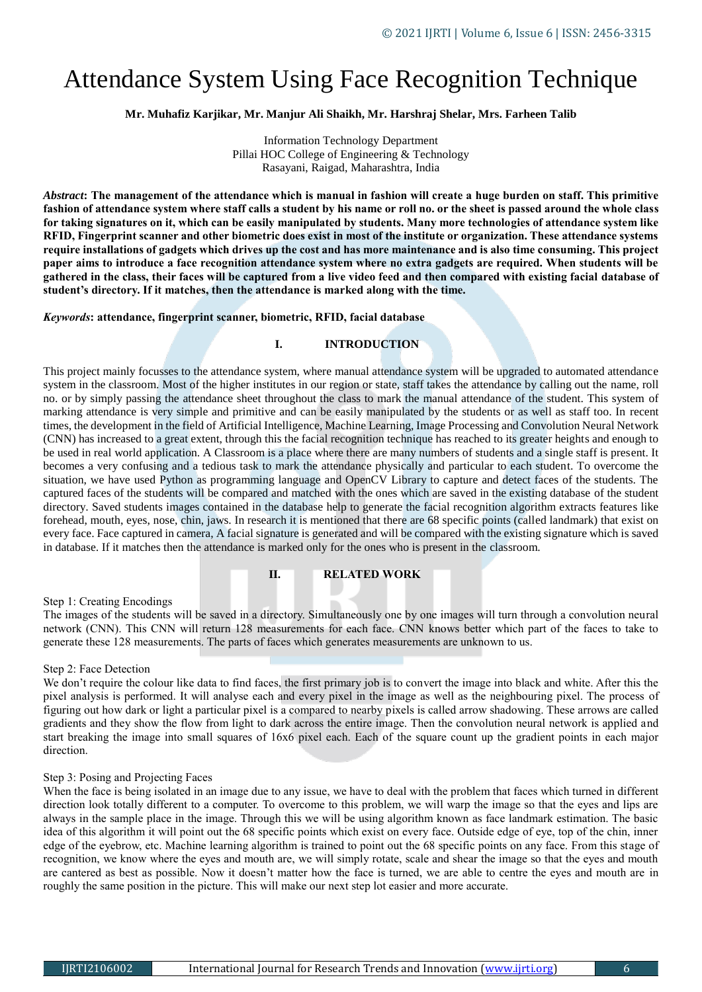# Attendance System Using Face Recognition Technique

**Mr. Muhafiz Karjikar, Mr. Manjur Ali Shaikh, Mr. Harshraj Shelar, Mrs. Farheen Talib**

Information Technology Department Pillai HOC College of Engineering & Technology Rasayani, Raigad, Maharashtra, India

*Abstract***: The management of the attendance which is manual in fashion will create a huge burden on staff. This primitive fashion of attendance system where staff calls a student by his name or roll no. or the sheet is passed around the whole class for taking signatures on it, which can be easily manipulated by students. Many more technologies of attendance system like RFID, Fingerprint scanner and other biometric does exist in most of the institute or organization. These attendance systems require installations of gadgets which drives up the cost and has more maintenance and is also time consuming. This project paper aims to introduce a face recognition attendance system where no extra gadgets are required. When students will be gathered in the class, their faces will be captured from a live video feed and then compared with existing facial database of student's directory. If it matches, then the attendance is marked along with the time.**

#### *Keywords***: attendance, fingerprint scanner, biometric, RFID, facial database**

## **I. INTRODUCTION**

This project mainly focusses to the attendance system, where manual attendance system will be upgraded to automated attendance system in the classroom. Most of the higher institutes in our region or state, staff takes the attendance by calling out the name, roll no. or by simply passing the attendance sheet throughout the class to mark the manual attendance of the student. This system of marking attendance is very simple and primitive and can be easily manipulated by the students or as well as staff too. In recent times, the development in the field of Artificial Intelligence, Machine Learning, Image Processing and Convolution Neural Network (CNN) has increased to a great extent, through this the facial recognition technique has reached to its greater heights and enough to be used in real world application. A Classroom is a place where there are many numbers of students and a single staff is present. It becomes a very confusing and a tedious task to mark the attendance physically and particular to each student. To overcome the situation, we have used Python as programming language and OpenCV Library to capture and detect faces of the students. The captured faces of the students will be compared and matched with the ones which are saved in the existing database of the student directory. Saved students images contained in the database help to generate the facial recognition algorithm extracts features like forehead, mouth, eyes, nose, chin, jaws. In research it is mentioned that there are 68 specific points (called landmark) that exist on every face. Face captured in camera, A facial signature is generated and will be compared with the existing signature which is saved in database. If it matches then the attendance is marked only for the ones who is present in the classroom.

## **II. RELATED WORK**

## Step 1: Creating Encodings

The images of the students will be saved in a directory. Simultaneously one by one images will turn through a convolution neural network (CNN). This CNN will return 128 measurements for each face. CNN knows better which part of the faces to take to generate these 128 measurements. The parts of faces which generates measurements are unknown to us.

## Step 2: Face Detection

We don't require the colour like data to find faces, the first primary job is to convert the image into black and white. After this the pixel analysis is performed. It will analyse each and every pixel in the image as well as the neighbouring pixel. The process of figuring out how dark or light a particular pixel is a compared to nearby pixels is called arrow shadowing. These arrows are called gradients and they show the flow from light to dark across the entire image. Then the convolution neural network is applied and start breaking the image into small squares of 16x6 pixel each. Each of the square count up the gradient points in each major direction.

#### Step 3: Posing and Projecting Faces

When the face is being isolated in an image due to any issue, we have to deal with the problem that faces which turned in different direction look totally different to a computer. To overcome to this problem, we will warp the image so that the eyes and lips are always in the sample place in the image. Through this we will be using algorithm known as face landmark estimation. The basic idea of this algorithm it will point out the 68 specific points which exist on every face. Outside edge of eye, top of the chin, inner edge of the eyebrow, etc. Machine learning algorithm is trained to point out the 68 specific points on any face. From this stage of recognition, we know where the eyes and mouth are, we will simply rotate, scale and shear the image so that the eyes and mouth are cantered as best as possible. Now it doesn't matter how the face is turned, we are able to centre the eyes and mouth are in roughly the same position in the picture. This will make our next step lot easier and more accurate.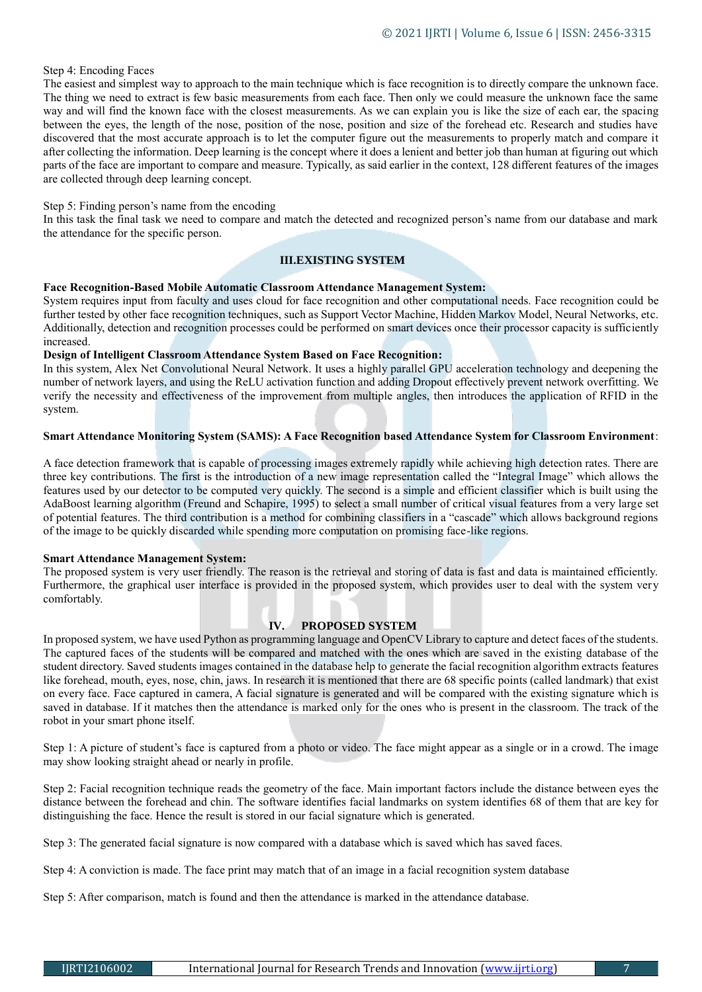## Step 4: Encoding Faces

The easiest and simplest way to approach to the main technique which is face recognition is to directly compare the unknown face. The thing we need to extract is few basic measurements from each face. Then only we could measure the unknown face the same way and will find the known face with the closest measurements. As we can explain you is like the size of each ear, the spacing between the eyes, the length of the nose, position of the nose, position and size of the forehead etc. Research and studies have discovered that the most accurate approach is to let the computer figure out the measurements to properly match and compare it after collecting the information. Deep learning is the concept where it does a lenient and better job than human at figuring out which parts of the face are important to compare and measure. Typically, as said earlier in the context, 128 different features of the images are collected through deep learning concept.

#### Step 5: Finding person's name from the encoding

In this task the final task we need to compare and match the detected and recognized person's name from our database and mark the attendance for the specific person.

## **III.EXISTING SYSTEM**

#### **Face Recognition-Based Mobile Automatic Classroom Attendance Management System:**

System requires input from faculty and uses cloud for face recognition and other computational needs. Face recognition could be further tested by other face recognition techniques, such as Support Vector Machine, Hidden Markov Model, Neural Networks, etc. Additionally, detection and recognition processes could be performed on smart devices once their processor capacity is sufficiently increased.

#### **Design of Intelligent Classroom Attendance System Based on Face Recognition:**

In this system, Alex Net Convolutional Neural Network. It uses a highly parallel GPU acceleration technology and deepening the number of network layers, and using the ReLU activation function and adding Dropout effectively prevent network overfitting. We verify the necessity and effectiveness of the improvement from multiple angles, then introduces the application of RFID in the system.

## **Smart Attendance Monitoring System (SAMS): A Face Recognition based Attendance System for Classroom Environment**:

A face detection framework that is capable of processing images extremely rapidly while achieving high detection rates. There are three key contributions. The first is the introduction of a new image representation called the "Integral Image" which allows the features used by our detector to be computed very quickly. The second is a simple and efficient classifier which is built using the AdaBoost learning algorithm (Freund and Schapire, 1995) to select a small number of critical visual features from a very large set of potential features. The third contribution is a method for combining classifiers in a "cascade" which allows background regions of the image to be quickly discarded while spending more computation on promising face-like regions.

## **Smart Attendance Management System:**

The proposed system is very user friendly. The reason is the retrieval and storing of data is fast and data is maintained efficiently. Furthermore, the graphical user interface is provided in the proposed system, which provides user to deal with the system very comfortably.

## **IV. PROPOSED SYSTEM**

In proposed system, we have used Python as programming language and OpenCV Library to capture and detect faces of the students. The captured faces of the students will be compared and matched with the ones which are saved in the existing database of the student directory. Saved students images contained in the database help to generate the facial recognition algorithm extracts features like forehead, mouth, eyes, nose, chin, jaws. In research it is mentioned that there are 68 specific points (called landmark) that exist on every face. Face captured in camera, A facial signature is generated and will be compared with the existing signature which is saved in database. If it matches then the attendance is marked only for the ones who is present in the classroom. The track of the robot in your smart phone itself.

Step 1: A picture of student's face is captured from a photo or video. The face might appear as a single or in a crowd. The image may show looking straight ahead or nearly in profile.

Step 2: Facial recognition technique reads the geometry of the face. Main important factors include the distance between eyes the distance between the forehead and chin. The software identifies facial landmarks on system identifies 68 of them that are key for distinguishing the face. Hence the result is stored in our facial signature which is generated.

Step 3: The generated facial signature is now compared with a database which is saved which has saved faces.

Step 4: A conviction is made. The face print may match that of an image in a facial recognition system database

Step 5: After comparison, match is found and then the attendance is marked in the attendance database.